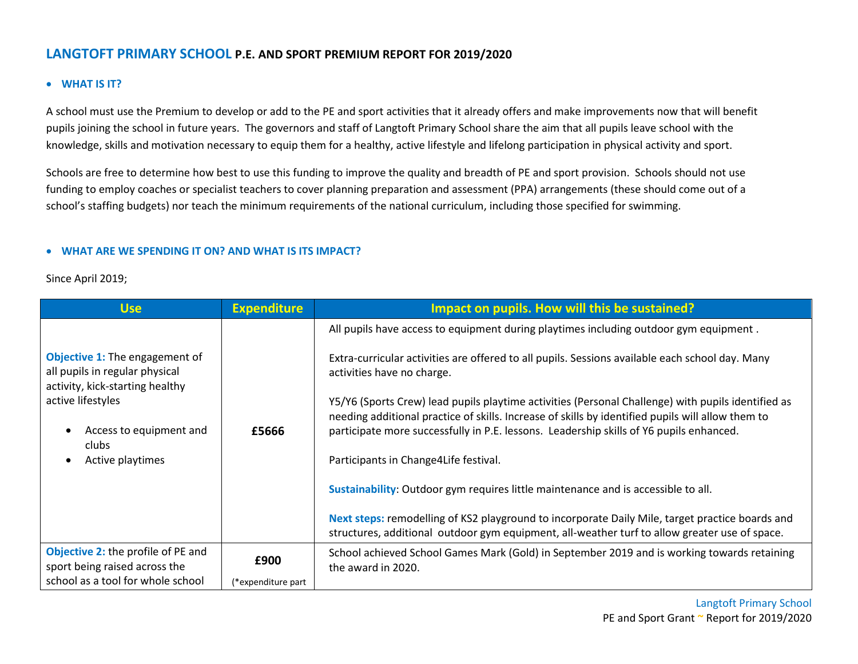## **LANGTOFT PRIMARY SCHOOL P.E. AND SPORT PREMIUM REPORT FOR 2019/2020**

## **WHAT IS IT?**

A school must use the Premium to develop or add to the PE and sport activities that it already offers and make improvements now that will benefit pupils joining the school in future years. The governors and staff of Langtoft Primary School share the aim that all pupils leave school with the knowledge, skills and motivation necessary to equip them for a healthy, active lifestyle and lifelong participation in physical activity and sport.

Schools are free to determine how best to use this funding to improve the quality and breadth of PE and sport provision. Schools should not use funding to employ coaches or specialist teachers to cover planning preparation and assessment (PPA) arrangements (these should come out of a school's staffing budgets) nor teach the minimum requirements of the national curriculum, including those specified for swimming.

## **WHAT ARE WE SPENDING IT ON? AND WHAT IS ITS IMPACT?**

Since April 2019;

| <b>Use</b>                                                                                                                                                                              | <b>Expenditure</b> | Impact on pupils. How will this be sustained?                                                                                                                                                                                                                                                                                                                                                                                                                                                                                                                                                                                                              |  |
|-----------------------------------------------------------------------------------------------------------------------------------------------------------------------------------------|--------------------|------------------------------------------------------------------------------------------------------------------------------------------------------------------------------------------------------------------------------------------------------------------------------------------------------------------------------------------------------------------------------------------------------------------------------------------------------------------------------------------------------------------------------------------------------------------------------------------------------------------------------------------------------------|--|
| <b>Objective 1:</b> The engagement of<br>all pupils in regular physical<br>activity, kick-starting healthy<br>active lifestyles<br>Access to equipment and<br>clubs<br>Active playtimes | £5666              | All pupils have access to equipment during playtimes including outdoor gym equipment.<br>Extra-curricular activities are offered to all pupils. Sessions available each school day. Many<br>activities have no charge.<br>Y5/Y6 (Sports Crew) lead pupils playtime activities (Personal Challenge) with pupils identified as<br>needing additional practice of skills. Increase of skills by identified pupils will allow them to<br>participate more successfully in P.E. lessons. Leadership skills of Y6 pupils enhanced.<br>Participants in Change4Life festival.<br>Sustainability: Outdoor gym requires little maintenance and is accessible to all. |  |
|                                                                                                                                                                                         |                    | Next steps: remodelling of KS2 playground to incorporate Daily Mile, target practice boards and<br>structures, additional outdoor gym equipment, all-weather turf to allow greater use of space.                                                                                                                                                                                                                                                                                                                                                                                                                                                           |  |
| <b>Objective 2: the profile of PE and</b><br>sport being raised across the                                                                                                              | £900               | School achieved School Games Mark (Gold) in September 2019 and is working towards retaining<br>the award in 2020.                                                                                                                                                                                                                                                                                                                                                                                                                                                                                                                                          |  |
| school as a tool for whole school                                                                                                                                                       | (*expenditure part |                                                                                                                                                                                                                                                                                                                                                                                                                                                                                                                                                                                                                                                            |  |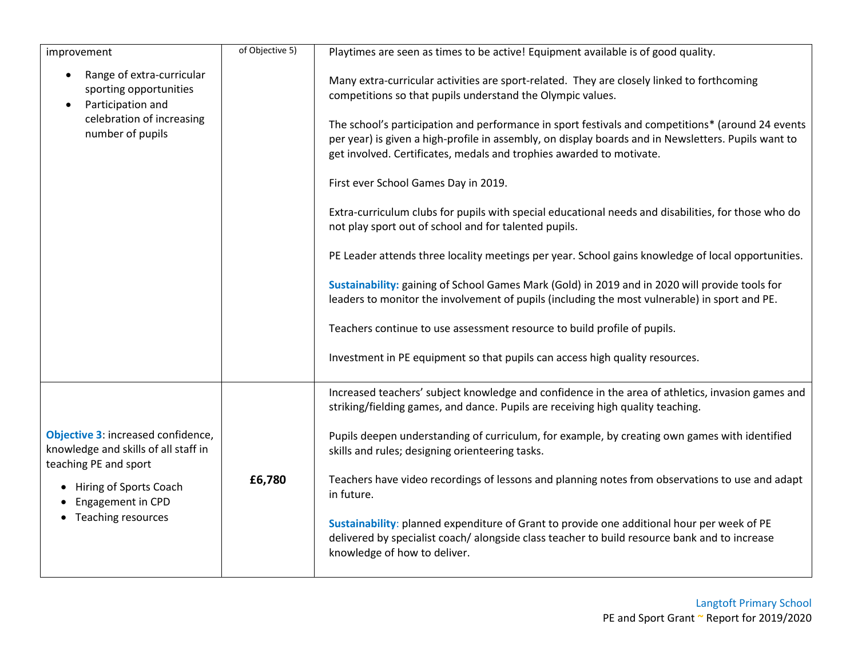| improvement                                                                                                                            | of Objective 5) | Playtimes are seen as times to be active! Equipment available is of good quality.                                                                                                                                                                                                                                                                                                                                                                                                                                                                                                                                                                                                                                                                                                                                                                                                                                                                             |
|----------------------------------------------------------------------------------------------------------------------------------------|-----------------|---------------------------------------------------------------------------------------------------------------------------------------------------------------------------------------------------------------------------------------------------------------------------------------------------------------------------------------------------------------------------------------------------------------------------------------------------------------------------------------------------------------------------------------------------------------------------------------------------------------------------------------------------------------------------------------------------------------------------------------------------------------------------------------------------------------------------------------------------------------------------------------------------------------------------------------------------------------|
| Range of extra-curricular<br>sporting opportunities<br>Participation and<br>$\bullet$<br>celebration of increasing<br>number of pupils |                 | Many extra-curricular activities are sport-related. They are closely linked to forthcoming<br>competitions so that pupils understand the Olympic values.<br>The school's participation and performance in sport festivals and competitions* (around 24 events<br>per year) is given a high-profile in assembly, on display boards and in Newsletters. Pupils want to<br>get involved. Certificates, medals and trophies awarded to motivate.<br>First ever School Games Day in 2019.<br>Extra-curriculum clubs for pupils with special educational needs and disabilities, for those who do<br>not play sport out of school and for talented pupils.<br>PE Leader attends three locality meetings per year. School gains knowledge of local opportunities.<br>Sustainability: gaining of School Games Mark (Gold) in 2019 and in 2020 will provide tools for<br>leaders to monitor the involvement of pupils (including the most vulnerable) in sport and PE. |
|                                                                                                                                        |                 | Teachers continue to use assessment resource to build profile of pupils.<br>Investment in PE equipment so that pupils can access high quality resources.                                                                                                                                                                                                                                                                                                                                                                                                                                                                                                                                                                                                                                                                                                                                                                                                      |
|                                                                                                                                        |                 |                                                                                                                                                                                                                                                                                                                                                                                                                                                                                                                                                                                                                                                                                                                                                                                                                                                                                                                                                               |
|                                                                                                                                        |                 | Increased teachers' subject knowledge and confidence in the area of athletics, invasion games and<br>striking/fielding games, and dance. Pupils are receiving high quality teaching.                                                                                                                                                                                                                                                                                                                                                                                                                                                                                                                                                                                                                                                                                                                                                                          |
| Objective 3: increased confidence,<br>knowledge and skills of all staff in<br>teaching PE and sport                                    |                 | Pupils deepen understanding of curriculum, for example, by creating own games with identified<br>skills and rules; designing orienteering tasks.                                                                                                                                                                                                                                                                                                                                                                                                                                                                                                                                                                                                                                                                                                                                                                                                              |
| Hiring of Sports Coach<br>Engagement in CPD<br>• Teaching resources                                                                    | £6,780          | Teachers have video recordings of lessons and planning notes from observations to use and adapt<br>in future.                                                                                                                                                                                                                                                                                                                                                                                                                                                                                                                                                                                                                                                                                                                                                                                                                                                 |
|                                                                                                                                        |                 | Sustainability: planned expenditure of Grant to provide one additional hour per week of PE<br>delivered by specialist coach/alongside class teacher to build resource bank and to increase<br>knowledge of how to deliver.                                                                                                                                                                                                                                                                                                                                                                                                                                                                                                                                                                                                                                                                                                                                    |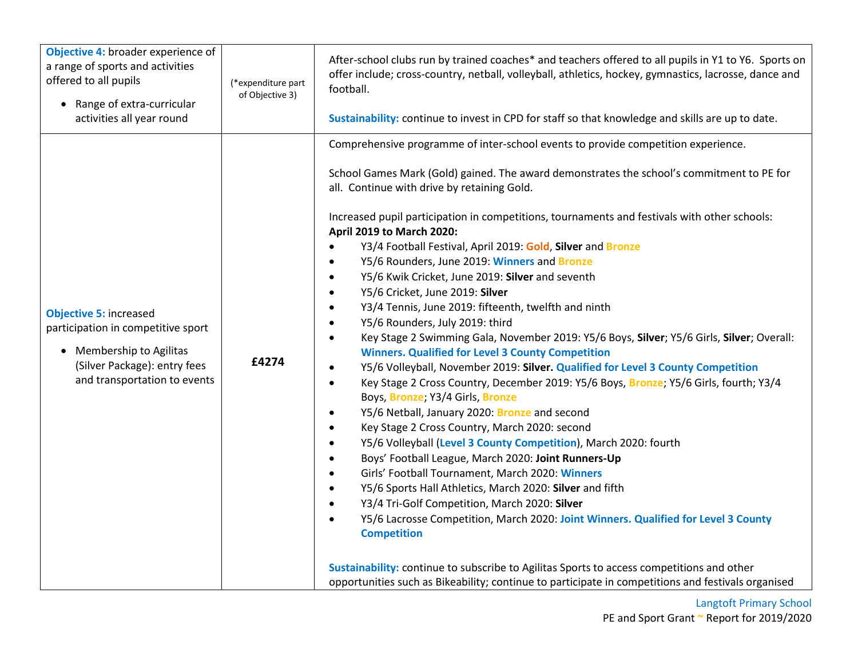| Objective 4: broader experience of<br>a range of sports and activities<br>offered to all pupils<br>Range of extra-curricular<br>$\bullet$<br>activities all year round | (*expenditure part<br>of Objective 3) | After-school clubs run by trained coaches* and teachers offered to all pupils in Y1 to Y6. Sports on<br>offer include; cross-country, netball, volleyball, athletics, hockey, gymnastics, lacrosse, dance and<br>football.<br>Sustainability: continue to invest in CPD for staff so that knowledge and skills are up to date.                                                                                                                                                                                                                                                                                                                                                                                                                                                                                                                                                                                                                                                                                                                                                                                                                                                                                                                                                                                                                                                                                                                                                                                                                                                                                                                                                                                                                                                                                                                                                                                                                                                 |
|------------------------------------------------------------------------------------------------------------------------------------------------------------------------|---------------------------------------|--------------------------------------------------------------------------------------------------------------------------------------------------------------------------------------------------------------------------------------------------------------------------------------------------------------------------------------------------------------------------------------------------------------------------------------------------------------------------------------------------------------------------------------------------------------------------------------------------------------------------------------------------------------------------------------------------------------------------------------------------------------------------------------------------------------------------------------------------------------------------------------------------------------------------------------------------------------------------------------------------------------------------------------------------------------------------------------------------------------------------------------------------------------------------------------------------------------------------------------------------------------------------------------------------------------------------------------------------------------------------------------------------------------------------------------------------------------------------------------------------------------------------------------------------------------------------------------------------------------------------------------------------------------------------------------------------------------------------------------------------------------------------------------------------------------------------------------------------------------------------------------------------------------------------------------------------------------------------------|
| <b>Objective 5: increased</b><br>participation in competitive sport<br>• Membership to Agilitas<br>(Silver Package): entry fees<br>and transportation to events        | £4274                                 | Comprehensive programme of inter-school events to provide competition experience.<br>School Games Mark (Gold) gained. The award demonstrates the school's commitment to PE for<br>all. Continue with drive by retaining Gold.<br>Increased pupil participation in competitions, tournaments and festivals with other schools:<br>April 2019 to March 2020:<br>Y3/4 Football Festival, April 2019: Gold, Silver and Bronze<br>$\bullet$<br>Y5/6 Rounders, June 2019: Winners and Bronze<br>$\bullet$<br>Y5/6 Kwik Cricket, June 2019: Silver and seventh<br>$\bullet$<br>Y5/6 Cricket, June 2019: Silver<br>$\bullet$<br>Y3/4 Tennis, June 2019: fifteenth, twelfth and ninth<br>$\bullet$<br>Y5/6 Rounders, July 2019: third<br>$\bullet$<br>Key Stage 2 Swimming Gala, November 2019: Y5/6 Boys, Silver; Y5/6 Girls, Silver; Overall:<br>$\bullet$<br><b>Winners. Qualified for Level 3 County Competition</b><br>Y5/6 Volleyball, November 2019: Silver. Qualified for Level 3 County Competition<br>$\bullet$<br>Key Stage 2 Cross Country, December 2019: Y5/6 Boys, Bronze; Y5/6 Girls, fourth; Y3/4<br>$\bullet$<br>Boys, Bronze; Y3/4 Girls, Bronze<br>Y5/6 Netball, January 2020: Bronze and second<br>$\bullet$<br>Key Stage 2 Cross Country, March 2020: second<br>$\bullet$<br>Y5/6 Volleyball (Level 3 County Competition), March 2020: fourth<br>$\bullet$<br>Boys' Football League, March 2020: Joint Runners-Up<br>$\bullet$<br>Girls' Football Tournament, March 2020: Winners<br>$\bullet$<br>Y5/6 Sports Hall Athletics, March 2020: Silver and fifth<br>$\bullet$<br>Y3/4 Tri-Golf Competition, March 2020: Silver<br>$\bullet$<br>Y5/6 Lacrosse Competition, March 2020: Joint Winners. Qualified for Level 3 County<br>$\bullet$<br><b>Competition</b><br>Sustainability: continue to subscribe to Agilitas Sports to access competitions and other<br>opportunities such as Bikeability; continue to participate in competitions and festivals organised |